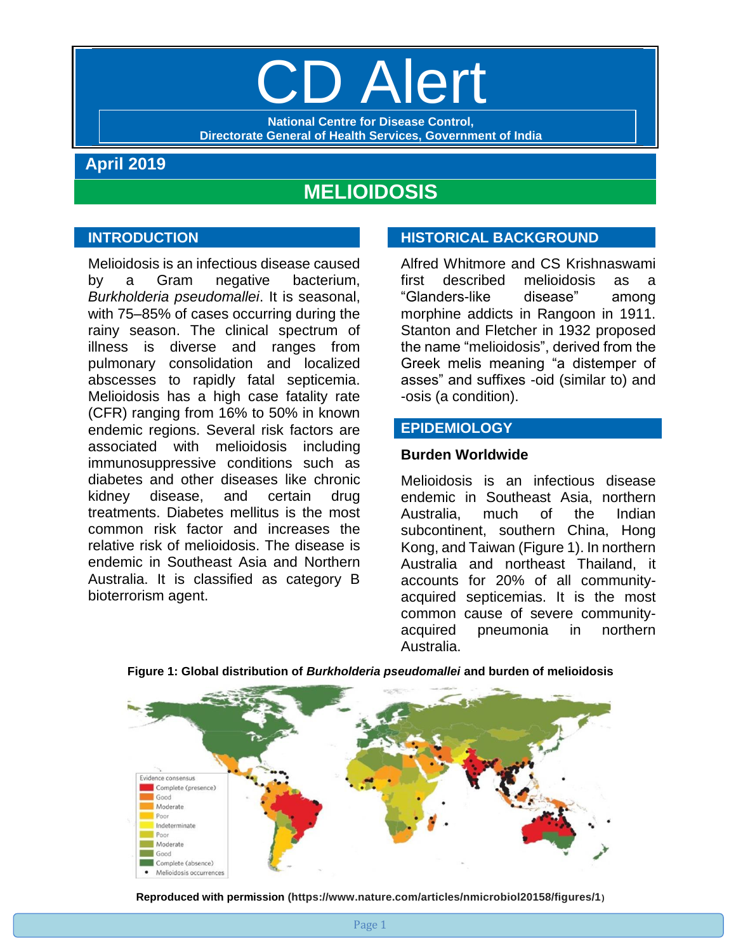# **D** Alert

**National Centre for Disease Control, Directorate General of Health Services, Government of India**

# **April 2019**

# **MELIOIDOSIS**

# **INTRODUCTION**

Melioidosis is an infectious disease caused by a Gram negative bacterium, *Burkholderia pseudomallei*. It is seasonal, with 75–85% of cases occurring during the rainy season. The clinical spectrum of illness is diverse and ranges from pulmonary consolidation and localized abscesses to rapidly fatal septicemia. Melioidosis has a high case fatality rate (CFR) ranging from 16% to 50% in known endemic regions. Several risk factors are associated with melioidosis including immunosuppressive conditions such as diabetes and other diseases like chronic kidney disease, and certain drug treatments. Diabetes mellitus is the most common risk factor and increases the relative risk of melioidosis. The disease is endemic in Southeast Asia and Northern Australia. It is classified as category B bioterrorism agent.

# **HISTORICAL BACKGROUND**

Alfred Whitmore and CS Krishnaswami first described melioidosis as a "Glanders-like disease" among morphine addicts in Rangoon in 1911. Stanton and Fletcher in 1932 proposed the name "melioidosis", derived from the Greek melis meaning "a distemper of asses" and suffixes -oid (similar to) and -osis (a condition).

# **EPIDEMIOLOGY**

#### **Burden Worldwide**

Melioidosis is an infectious disease endemic in Southeast Asia, northern Australia, much of the Indian subcontinent, southern China, Hong Kong, and Taiwan (Figure 1). In northern Australia and northeast Thailand, it accounts for 20% of all communityacquired septicemias. It is the most common cause of severe communityacquired pneumonia in northern Australia.



#### **Figure 1: Global distribution of** *Burkholderia pseudomallei* **and burden of melioidosis**

**Reproduced with permission (https://www.nature.com/articles/nmicrobiol20158/figures/1)**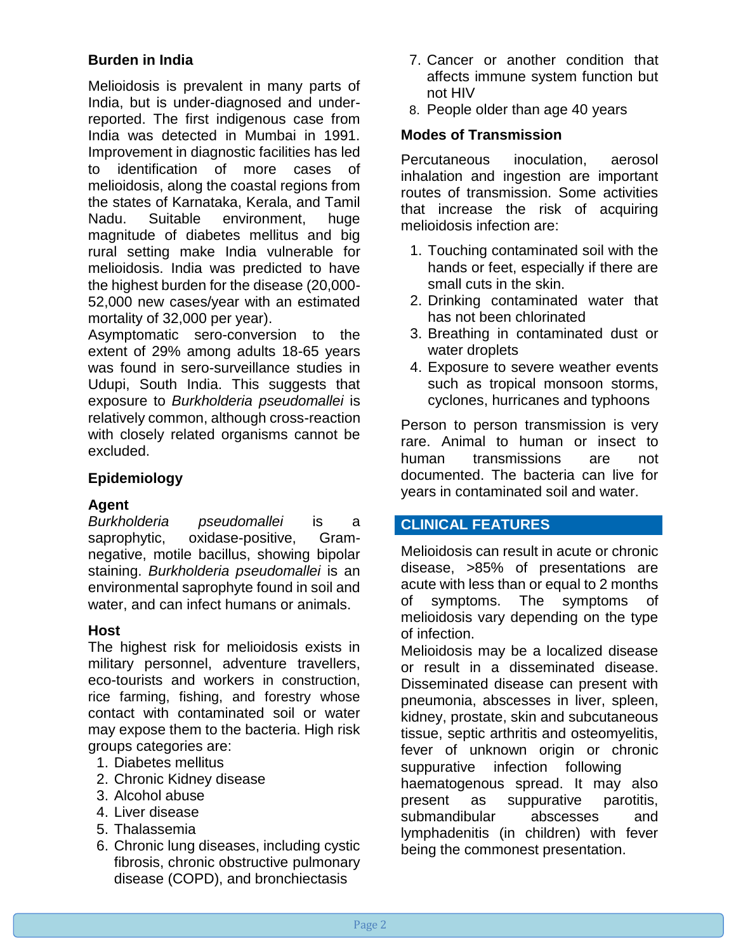# **Burden in India**

Melioidosis is prevalent in many parts of India, but is under-diagnosed and underreported. The first indigenous case from India was detected in Mumbai in 1991. Improvement in diagnostic facilities has led to identification of more cases of melioidosis, along the coastal regions from the states of Karnataka, Kerala, and Tamil Nadu. Suitable environment, huge magnitude of diabetes mellitus and big rural setting make India vulnerable for melioidosis. India was predicted to have the highest burden for the disease (20,000- 52,000 new cases/year with an estimated mortality of 32,000 per year).

Asymptomatic sero-conversion to the extent of 29% among adults 18-65 years was found in sero-surveillance studies in Udupi, South India. This suggests that exposure to *Burkholderia pseudomallei* is relatively common, although cross-reaction with closely related organisms cannot be excluded.

# **Epidemiology**

# **Agent**

*Burkholderia pseudomallei* is a saprophytic, oxidase-positive, Gramnegative, motile bacillus, showing bipolar staining. *Burkholderia pseudomallei* is an environmental saprophyte found in soil and water, and can infect humans or animals.

# **Host**

The highest risk for melioidosis exists in military personnel, adventure travellers, eco-tourists and workers in construction, rice farming, fishing, and forestry whose contact with contaminated soil or water may expose them to the bacteria. High risk groups categories are:

- 1. [Diabetes](https://www.healthline.com/health/diabetes) mellitus
- 2. Chronic Kidney disease
- 3. [Alcohol abuse](https://www.healthline.com/health/alcohol-use-and-abuse)
- 4. Liver disease
- 5. Thalassemia
- 6. Chronic lung diseases, including cystic fibrosis, chronic obstructive pulmonary disease (COPD), and bronchiectasis
- 7. Cancer or another condition that affects immune system function but not HIV
- 8. People older than age 40 years

# **Modes of Transmission**

Percutaneous inoculation, aerosol inhalation and ingestion are important routes of transmission. Some activities that increase the risk of acquiring melioidosis infection are:

- 1. Touching contaminated soil with the hands or feet, especially if there are small cuts in the skin.
- 2. Drinking contaminated water that has not been chlorinated
- 3. Breathing in contaminated dust or water droplets
- 4. Exposure to severe weather events such as tropical monsoon storms, cyclones, hurricanes and typhoons

Person to person transmission is very rare. Animal to human or insect to human transmissions are not documented. The bacteria can live for years in contaminated soil and water.

# **CLINICAL FEATURES**

Melioidosis can result in acute or chronic disease, >85% of presentations are acute with less than or equal to 2 months of symptoms. The symptoms of melioidosis vary depending on the type of infection.

Melioidosis may be a localized disease or result in a disseminated disease. Disseminated disease can present with pneumonia, abscesses in liver, spleen, kidney, prostate, skin and subcutaneous tissue, septic arthritis and osteomyelitis, fever of unknown origin or chronic suppurative infection following haematogenous spread. It may also present as suppurative parotitis, submandibular abscesses and lymphadenitis (in children) with fever being the commonest presentation.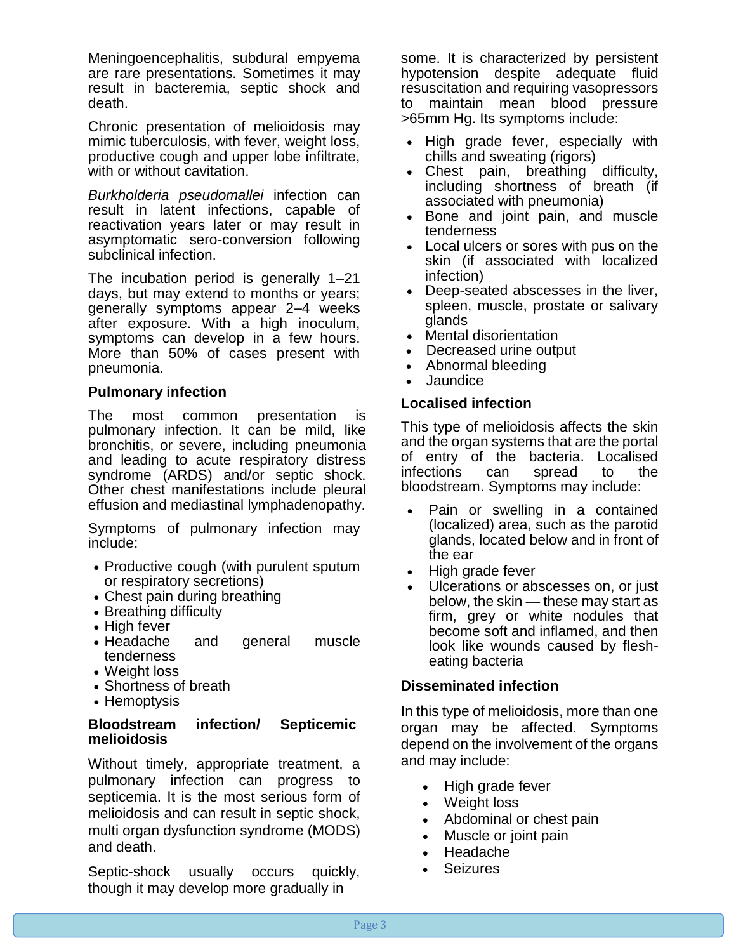Meningoencephalitis, subdural empyema are rare presentations. Sometimes it may result in bacteremia, septic shock and death.

Chronic presentation of melioidosis may mimic tuberculosis, with fever, weight loss, productive cough and upper lobe infiltrate, with or without cavitation.

*Burkholderia pseudomallei* infection can result in latent infections, capable of reactivation years later or may result in asymptomatic sero-conversion following subclinical infection.

The incubation period is generally 1–21 days, but may extend to months or years; generally symptoms appear 2–4 weeks after exposure. With a high inoculum, symptoms can develop in a few hours. More than 50% of cases present with pneumonia.

#### **Pulmonary infection**

The most common presentation is pulmonary infection. It can be mild, like bronchitis, or severe, including [pneumonia](https://www.healthline.com/health/pneumonia) and leading to acute respiratory distress syndrome (ARDS) and/or septic shock. Other chest manifestations include pleural effusion and mediastinal lymphadenopathy.

Symptoms of pulmonary infection may include:

- Productive cough (with purulent sputum or respiratory secretions)
- Chest pain during breathing
- Breathing difficulty
- High fever
- Headache and general muscle tenderness
- Weight loss
- Shortness of breath
- Hemoptysis

#### **Bloodstream infection/ Septicemicj melioidosis**

Without timely, appropriate treatment, a pulmonary infection can progress to [septicemia.](https://www.healthline.com/health/septicemia) It is the most serious form of melioidosis and can result in septic shock, multi organ dysfunction syndrome (MODS) and death.

Septic-shock usually occurs quickly, though it may develop more gradually in

some. It is characterized by persistent hypotension despite adequate fluid resuscitation and requiring vasopressors to maintain mean blood pressure >65mm Hg. Its symptoms include:

- High grade fever, especially with chills and sweating (rigors)
- Chest pain, breathing difficulty, including shortness of breath (if associated with pneumonia)
- Bone and joint pain, and muscle tenderness
- Local ulcers or sores with pus on the skin (if associated with localized infection)
- Deep-seated abscesses in the liver, spleen, muscle, prostate or salivary glands
- Mental disorientation
- Decreased urine output
- Abnormal bleeding
- Jaundice

#### **Localised infection**

This type of melioidosis affects the skin and the organ systems that are the portal of entry of the bacteria. Localised infections can spread to the bloodstream. Symptoms may include:

- Pain or swelling in a contained (localized) area, such as the parotid glands, located below and in front of the ear
- High grade fever
- Ulcerations or abscesses on, or just below, the skin — these may start as firm, grey or white nodules that become soft and inflamed, and then look like wounds caused by flesheating bacteria

#### **Disseminated infection**

In this type of melioidosis, more than one organ may be affected. Symptoms depend on the involvement of the organs and may include:

- High grade fever
- Weight loss
- Abdominal or chest pain
- Muscle or joint pain
- Headache
- **Seizures**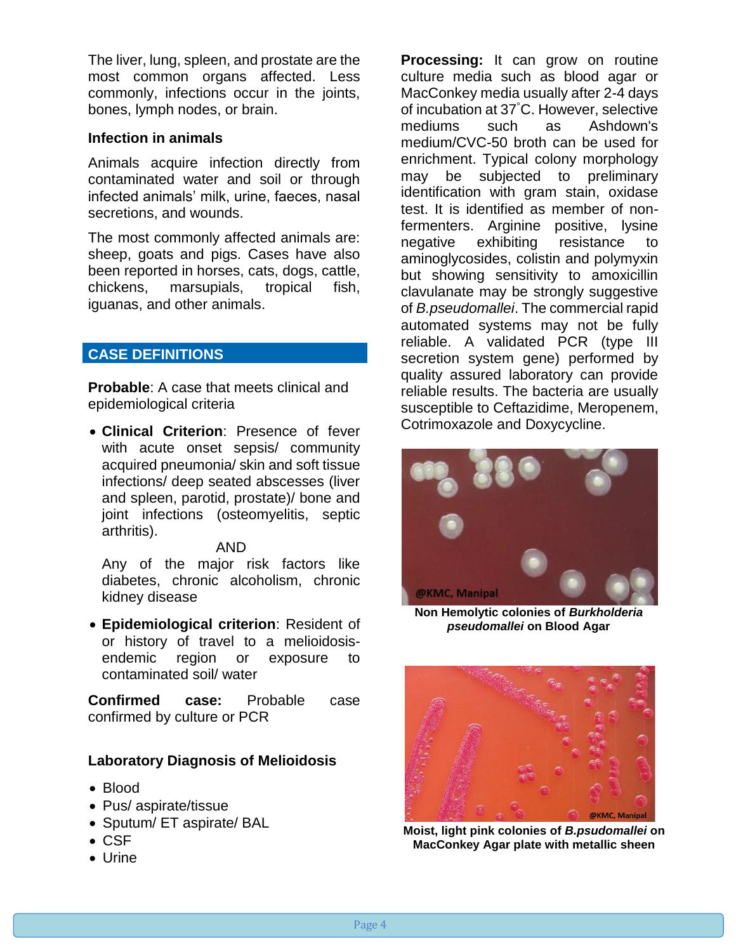The liver, lung, spleen, and prostate are the most common organs affected. Less commonly, infections occur in the joints, bones, lymph nodes, or brain.

# **Infection in animals**

Animals acquire infection directly from contaminated water and soil or through infected animals' milk, urine, faeces, nasal secretions, and wounds.

The most commonly affected animals are: sheep, goats and pigs. Cases have also been reported in horses, cats, dogs, cattle, chickens, marsupials, tropical fish, iguanas, and other animals.

# **CASE DEFINITIONS**

**Probable**: A case that meets clinical and epidemiological criteria

• **Clinical Criterion**: Presence of fever with acute onset sepsis/ community acquired pneumonia/ skin and soft tissue infections/ deep seated abscesses (liver and spleen, parotid, prostate)/ bone and joint infections (osteomyelitis, septic arthritis).

#### AND

Any of the major risk factors like diabetes, chronic alcoholism, chronic kidney disease

• **Epidemiological criterion**: Resident of or history of travel to a melioidosisendemic region or exposure to contaminated soil/ water

**Confirmed case:** Probable case confirmed by culture or PCR

# **Laboratory Diagnosis of Melioidosis**

- Blood
- Pus/ aspirate/tissue
- Sputum/ ET aspirate/ BAL
- CSF
- Urine

**Processing:** It can grow on routine culture media such as blood agar or MacConkey media usually after 2-4 days of incubation at 37°C. However, selective mediums such as Ashdown's medium/CVC-50 broth can be used for enrichment. Typical colony morphology may be subjected to preliminary identification with gram stain, oxidase test. It is identified as member of nonfermenters. Arginine positive, lysine negative exhibiting resistance to aminoglycosides, colistin and polymyxin but showing sensitivity to amoxicillin clavulanate may be strongly suggestive of *B.pseudomallei*. The commercial rapid automated systems may not be fully reliable. A validated PCR (type III secretion system gene) performed by quality assured laboratory can provide reliable results. The bacteria are usually susceptible to Ceftazidime, Meropenem, Cotrimoxazole and Doxycycline.



**Non Hemolytic colonies of** *Burkholderia pseudomallei* **on Blood Agar**



**Moist, light pink colonies of** *B.psudomallei* **on MacConkey Agar plate with metallic sheen**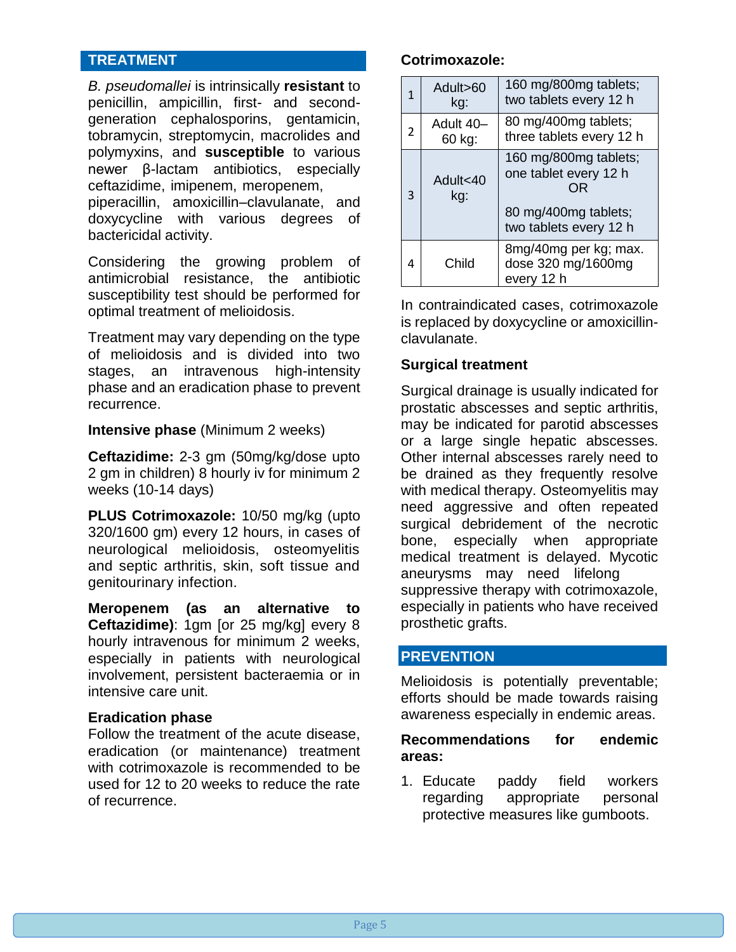# **TREATMENT**

*B. pseudomallei* is intrinsically **resistant** to penicillin, ampicillin, first- and secondgeneration cephalosporins, gentamicin, tobramycin, streptomycin, macrolides and polymyxins, and **susceptible** to various newer β-lactam antibiotics, especially ceftazidime, imipenem, meropenem, piperacillin, amoxicillin–clavulanate, and doxycycline with various degrees of bactericidal activity.

Considering the growing problem of antimicrobial resistance, the antibiotic susceptibility test should be performed for optimal treatment of melioidosis.

Treatment may vary depending on the type of melioidosis and is divided into two stages, an intravenous high-intensity phase and an eradication phase to prevent recurrence.

#### **Intensive phase** (Minimum 2 weeks)

**Ceftazidime:** 2-3 gm (50mg/kg/dose upto 2 gm in children) 8 hourly iv for minimum 2 weeks (10-14 days)

**PLUS Cotrimoxazole:** 10/50 mg/kg (upto 320/1600 gm) every 12 hours, in cases of neurological melioidosis, osteomyelitis and septic arthritis, skin, soft tissue and genitourinary infection.

**Meropenem (as an alternative to Ceftazidime)**: 1gm [or 25 mg/kg] every 8 hourly intravenous for minimum 2 weeks, especially in patients with neurological involvement, persistent bacteraemia or in intensive care unit.

#### **Eradication phase**

Follow the treatment of the acute disease, eradication (or maintenance) treatment with [cotrimoxazole](https://en.wikipedia.org/wiki/Co-trimoxazole) is recommended to be used for 12 to 20 weeks to reduce the rate of recurrence.

#### **Cotrimoxazole:**

| 1 | Adult>60<br>kg:     | 160 mg/800mg tablets;<br>two tablets every 12 h                                                        |
|---|---------------------|--------------------------------------------------------------------------------------------------------|
| 2 | Adult 40-<br>60 kg: | 80 mg/400mg tablets;<br>three tablets every 12 h                                                       |
| 3 | Adult<40<br>kg:     | 160 mg/800mg tablets;<br>one tablet every 12 h<br>OR<br>80 mg/400mg tablets;<br>two tablets every 12 h |
| 4 | Child               | 8mg/40mg per kg; max.<br>dose 320 mg/1600mg<br>every 12 h                                              |

In contraindicated cases, cotrimoxazole is replaced by doxycycline or amoxicillinclavulanate.

#### **Surgical treatment**

Surgical drainage is usually indicated for prostatic abscesses and septic arthritis, may be indicated for parotid abscesses or a large single hepatic abscesses. Other internal abscesses rarely need to be drained as they frequently resolve with medical therapy. Osteomyelitis may need aggressive and often repeated surgical debridement of the necrotic bone, especially when appropriate medical treatment is delayed. Mycotic aneurysms may need lifelong suppressive therapy with cotrimoxazole, especially in patients who have received prosthetic grafts.

# **PREVENTION**

Melioidosis is potentially preventable; efforts should be made towards raising awareness especially in endemic areas.

#### **Recommendations for endemic areas:**

1. Educate paddy field workers regarding appropriate personal protective measures like gumboots.